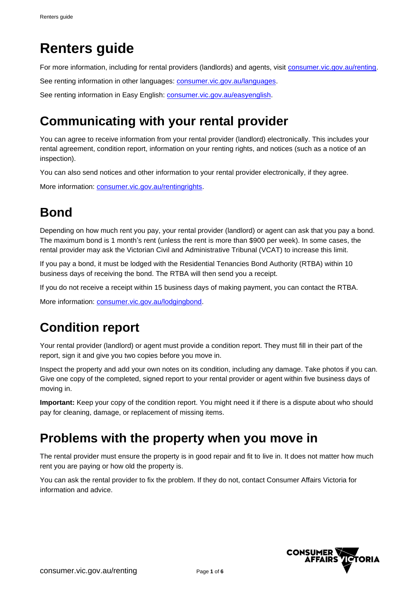# **Renters guide**

For more information, including for rental providers (landlords) and agents, visit [consumer.vic.gov.au/renting.](https://www.consumer.vic.gov.au/renting)

See renting information in other languages: [consumer.vic.gov.au/languages.](https://www.consumer.vic.gov.au/languages)

See renting information in Easy English: [consumer.vic.gov.au/easyenglish.](https://www.consumer.vic.gov.au/easyenglish)

## **Communicating with your rental provider**

You can agree to receive information from your rental provider (landlord) electronically. This includes your rental agreement, condition report, information on your renting rights, and notices (such as a notice of an inspection).

You can also send notices and other information to your rental provider electronically, if they agree.

More information: [consumer.vic.gov.au/rentingrights.](https://www.consumer.vic.gov.au/rentingrights)

## **Bond**

Depending on how much rent you pay, your rental provider (landlord) or agent can ask that you pay a bond. The maximum bond is 1 month's rent (unless the rent is more than \$900 per week). In some cases, the rental provider may ask the Victorian Civil and Administrative Tribunal (VCAT) to increase this limit.

If you pay a bond, it must be lodged with the Residential Tenancies Bond Authority (RTBA) within 10 business days of receiving the bond. The RTBA will then send you a receipt.

If you do not receive a receipt within 15 business days of making payment, you can contact the RTBA.

More information: [consumer.vic.gov.au/lodgingbond.](https://www.consumer.vic.gov.au/lodgingbond)

## **Condition report**

Your rental provider (landlord) or agent must provide a condition report. They must fill in their part of the report, sign it and give you two copies before you move in.

Inspect the property and add your own notes on its condition, including any damage. Take photos if you can. Give one copy of the completed, signed report to your rental provider or agent within five business days of moving in.

**Important:** Keep your copy of the condition report. You might need it if there is a dispute about who should pay for cleaning, damage, or replacement of missing items.

### **Problems with the property when you move in**

The rental provider must ensure the property is in good repair and fit to live in. It does not matter how much rent you are paying or how old the property is.

You can ask the rental provider to fix the problem. If they do not, contact Consumer Affairs Victoria for information and advice.

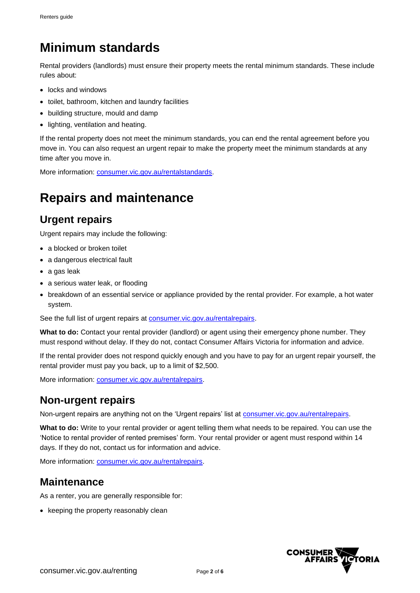## **Minimum standards**

Rental providers (landlords) must ensure their property meets the rental minimum standards. These include rules about:

- locks and windows
- toilet, bathroom, kitchen and laundry facilities
- building structure, mould and damp
- lighting, ventilation and heating.

If the rental property does not meet the minimum standards, you can end the rental agreement before you move in. You can also request an urgent repair to make the property meet the minimum standards at any time after you move in.

More information: [consumer.vic.gov.au/rentalstandards.](https://www.consumer.vic.gov.au/rentalstandards)

## **Repairs and maintenance**

#### **Urgent repairs**

Urgent repairs may include the following:

- a blocked or broken toilet
- a dangerous electrical fault
- a gas leak
- a serious water leak, or flooding
- breakdown of an essential service or appliance provided by the rental provider. For example, a hot water system.

See the full list of urgent repairs at [consumer.vic.gov.au/rentalrepairs.](https://www.consumer.vic.gov.au/rentalrepairs)

**What to do:** Contact your rental provider (landlord) or agent using their emergency phone number. They must respond without delay. If they do not, contact Consumer Affairs Victoria for information and advice.

If the rental provider does not respond quickly enough and you have to pay for an urgent repair yourself, the rental provider must pay you back, up to a limit of \$2,500.

More information: [consumer.vic.gov.au/rentalrepairs.](https://www.consumer.vic.gov.au/rentalrepairs)

#### **Non-urgent repairs**

Non-urgent repairs are anything not on the 'Urgent repairs' list at [consumer.vic.gov.au/rentalrepairs.](https://www.consumer.vic.gov.au/rentalrepairs)

**What to do:** Write to your rental provider or agent telling them what needs to be repaired. You can use the 'Notice to rental provider of rented premises' form. Your rental provider or agent must respond within 14 days. If they do not, contact us for information and advice.

More information: [consumer.vic.gov.au/rentalrepairs.](https://www.consumer.vic.gov.au/rentalrepairs)

#### **Maintenance**

As a renter, you are generally responsible for:

• keeping the property reasonably clean

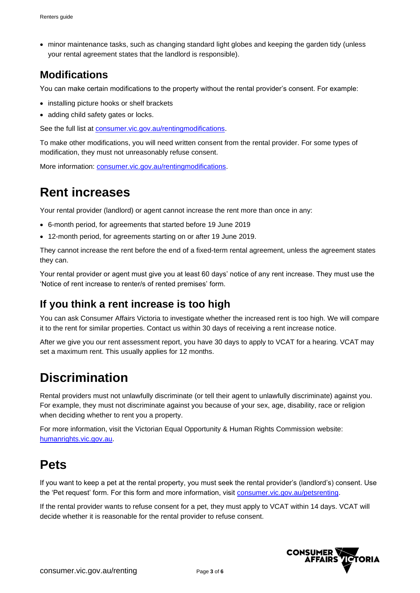• minor maintenance tasks, such as changing standard light globes and keeping the garden tidy (unless your rental agreement states that the landlord is responsible).

### **Modifications**

You can make certain modifications to the property without the rental provider's consent. For example:

- installing picture hooks or shelf brackets
- adding child safety gates or locks.

See the full list at [consumer.vic.gov.au/rentingmodifications.](https://www.consumer.vic.gov.au/rentingmodifications)

To make other modifications, you will need written consent from the rental provider. For some types of modification, they must not unreasonably refuse consent.

More information: [consumer.vic.gov.au/rentingmodifications.](https://www.consumer.vic.gov.au/rentingmodifications)

### **Rent increases**

Your rental provider (landlord) or agent cannot increase the rent more than once in any:

- 6-month period, for agreements that started before 19 June 2019
- 12-month period, for agreements starting on or after 19 June 2019.

They cannot increase the rent before the end of a fixed-term rental agreement, unless the agreement states they can.

Your rental provider or agent must give you at least 60 days' notice of any rent increase. They must use the 'Notice of rent increase to renter/s of rented premises' form.

#### **If you think a rent increase is too high**

You can ask Consumer Affairs Victoria to investigate whether the increased rent is too high. We will compare it to the rent for similar properties. Contact us within 30 days of receiving a rent increase notice.

After we give you our rent assessment report, you have 30 days to apply to VCAT for a hearing. VCAT may set a maximum rent. This usually applies for 12 months.

### **Discrimination**

Rental providers must not unlawfully discriminate (or tell their agent to unlawfully discriminate) against you. For example, they must not discriminate against you because of your sex, age, disability, race or religion when deciding whether to rent you a property.

For more information, visit the Victorian Equal Opportunity & Human Rights Commission website: [humanrights.vic.gov.au.](https://www.humanrights.vic.gov.au/)

### **Pets**

If you want to keep a pet at the rental property, you must seek the rental provider's (landlord's) consent. Use the 'Pet request' form. For this form and more information, visit [consumer.vic.gov.au/petsrenting.](https://www.consumer.vic.gov.au/petsrenting)

If the rental provider wants to refuse consent for a pet, they must apply to VCAT within 14 days. VCAT will decide whether it is reasonable for the rental provider to refuse consent.

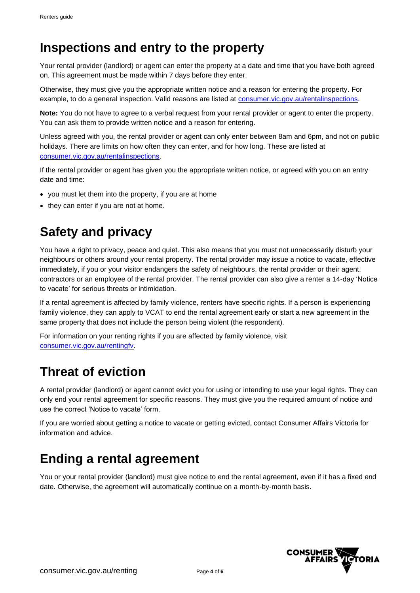## **Inspections and entry to the property**

Your rental provider (landlord) or agent can enter the property at a date and time that you have both agreed on. This agreement must be made within 7 days before they enter.

Otherwise, they must give you the appropriate written notice and a reason for entering the property. For example, to do a general inspection. Valid reasons are listed at [consumer.vic.gov.au/rentalinspections.](https://www.consumer.vic.gov.au/rentalinspections)

**Note:** You do not have to agree to a verbal request from your rental provider or agent to enter the property. You can ask them to provide written notice and a reason for entering.

Unless agreed with you, the rental provider or agent can only enter between 8am and 6pm, and not on public holidays. There are limits on how often they can enter, and for how long. These are listed at [consumer.vic.gov.au/rentalinspections.](https://www.consumer.vic.gov.au/rentalinspections)

If the rental provider or agent has given you the appropriate written notice, or agreed with you on an entry date and time:

- you must let them into the property, if you are at home
- they can enter if you are not at home.

## **Safety and privacy**

You have a right to privacy, peace and quiet. This also means that you must not unnecessarily disturb your neighbours or others around your rental property. The rental provider may issue a notice to vacate, effective immediately, if you or your visitor endangers the safety of neighbours, the rental provider or their agent, contractors or an employee of the rental provider. The rental provider can also give a renter a 14-day 'Notice to vacate' for serious threats or intimidation.

If a rental agreement is affected by family violence, renters have specific rights. If a person is experiencing family violence, they can apply to VCAT to end the rental agreement early or start a new agreement in the same property that does not include the person being violent (the respondent).

For information on your renting rights if you are affected by family violence, visit [consumer.vic.gov.au/rentingfv.](https://www.consumer.vic.gov.au/rentingfv)

## **Threat of eviction**

A rental provider (landlord) or agent cannot evict you for using or intending to use your legal rights. They can only end your rental agreement for specific reasons. They must give you the required amount of notice and use the correct 'Notice to vacate' form.

If you are worried about getting a notice to vacate or getting evicted, contact Consumer Affairs Victoria for information and advice.

## **Ending a rental agreement**

You or your rental provider (landlord) must give notice to end the rental agreement, even if it has a fixed end date. Otherwise, the agreement will automatically continue on a month-by-month basis.

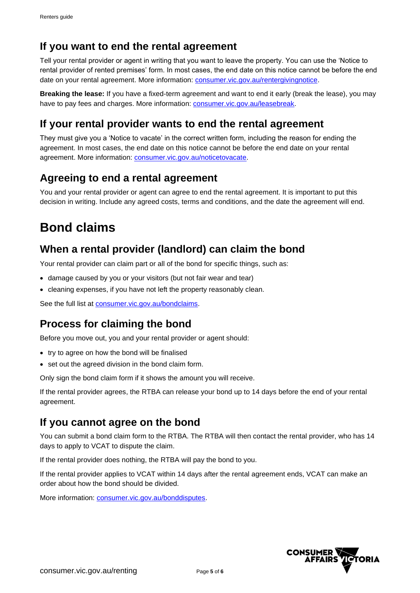### **If you want to end the rental agreement**

Tell your rental provider or agent in writing that you want to leave the property. You can use the 'Notice to rental provider of rented premises' form. In most cases, the end date on this notice cannot be before the end date on your rental agreement. More information: [consumer.vic.gov.au/rentergivingnotice.](https://www.consumer.vic.gov.au/rentergivingnotice)

**Breaking the lease:** If you have a fixed-term agreement and want to end it early (break the lease), you may have to pay fees and charges. More information: [consumer.vic.gov.au/leasebreak.](https://www.consumer.vic.gov.au/leasebreak)

### **If your rental provider wants to end the rental agreement**

They must give you a 'Notice to vacate' in the correct written form, including the reason for ending the agreement. In most cases, the end date on this notice cannot be before the end date on your rental agreement. More information: [consumer.vic.gov.au/noticetovacate.](https://www.consumer.vic.gov.au/noticetovacate)

### **Agreeing to end a rental agreement**

You and your rental provider or agent can agree to end the rental agreement. It is important to put this decision in writing. Include any agreed costs, terms and conditions, and the date the agreement will end.

## **Bond claims**

### **When a rental provider (landlord) can claim the bond**

Your rental provider can claim part or all of the bond for specific things, such as:

- damage caused by you or your visitors (but not fair wear and tear)
- cleaning expenses, if you have not left the property reasonably clean.

See the full list at [consumer.vic.gov.au/bondclaims.](https://www.consumer.vic.gov.au/bondclaims)

### **Process for claiming the bond**

Before you move out, you and your rental provider or agent should:

- try to agree on how the bond will be finalised
- set out the agreed division in the bond claim form.

Only sign the bond claim form if it shows the amount you will receive.

If the rental provider agrees, the RTBA can release your bond up to 14 days before the end of your rental agreement.

#### **If you cannot agree on the bond**

You can submit a bond claim form to the RTBA. The RTBA will then contact the rental provider, who has 14 days to apply to VCAT to dispute the claim.

If the rental provider does nothing, the RTBA will pay the bond to you.

If the rental provider applies to VCAT within 14 days after the rental agreement ends, VCAT can make an order about how the bond should be divided.

More information: [consumer.vic.gov.au/bonddisputes.](https://www.consumer.vic.gov.au/bonddisputes)